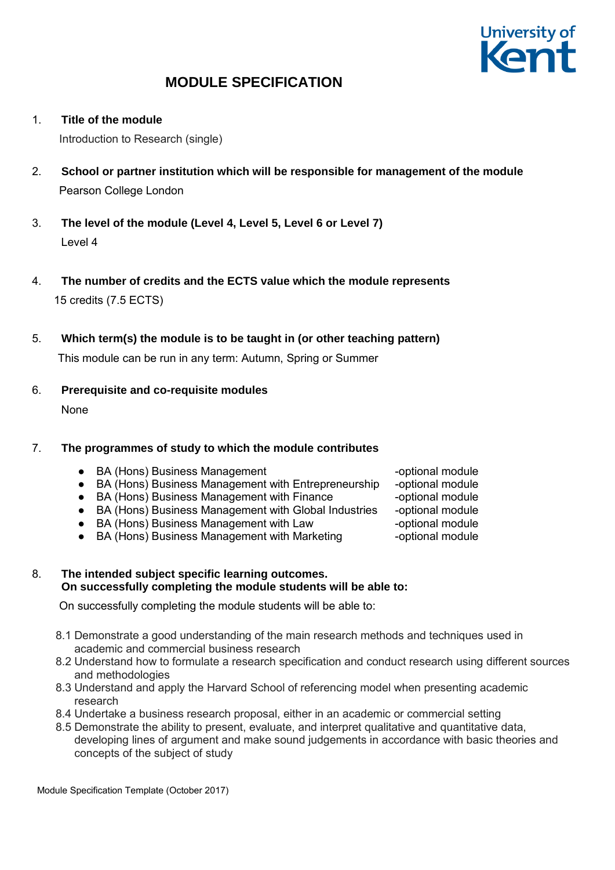

1. **Title of the module** 

Introduction to Research (single)

- 2. **School or partner institution which will be responsible for management of the module**  Pearson College London
- 3. **The level of the module (Level 4, Level 5, Level 6 or Level 7)**  Level 4
- 4. **The number of credits and the ECTS value which the module represents**  15 credits (7.5 ECTS)
- 5. **Which term(s) the module is to be taught in (or other teaching pattern)**

This module can be run in any term: Autumn, Spring or Summer

6. **Prerequisite and co-requisite modules**  None

## 7. **The programmes of study to which the module contributes**

- BA (Hons) Business Management The Controller -optional module
- BA (Hons) Business Management with Entrepreneurship -optional module
- BA (Hons) Business Management with Finance -optional module
- BA (Hons) Business Management with Global Industries -optional module
- BA (Hons) Business Management with Law Figure -optional module
- BA (Hons) Business Management with Marketing -optional module
- 8. **The intended subject specific learning outcomes. On successfully completing the module students will be able to:**

On successfully completing the module students will be able to:

- 8.1 Demonstrate a good understanding of the main research methods and techniques used in academic and commercial business research
- 8.2 Understand how to formulate a research specification and conduct research using different sources and methodologies
- 8.3 Understand and apply the Harvard School of referencing model when presenting academic research
- 8.4 Undertake a business research proposal, either in an academic or commercial setting
- 8.5 Demonstrate the ability to present, evaluate, and interpret qualitative and quantitative data, developing lines of argument and make sound judgements in accordance with basic theories and concepts of the subject of study

Module Specification Template (October 2017)

- 
- 
- 
-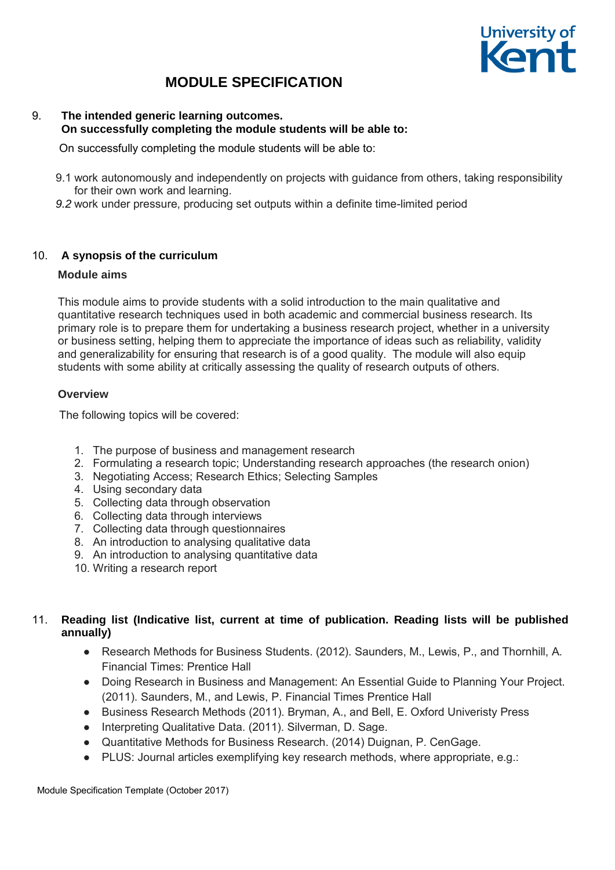

#### 9. **The intended generic learning outcomes. On successfully completing the module students will be able to:**

On successfully completing the module students will be able to:

- 9.1 work autonomously and independently on projects with guidance from others, taking responsibility for their own work and learning.
- *9.2* work under pressure, producing set outputs within a definite time-limited period

## 10. **A synopsis of the curriculum**

#### **Module aims**

This module aims to provide students with a solid introduction to the main qualitative and quantitative research techniques used in both academic and commercial business research. Its primary role is to prepare them for undertaking a business research project, whether in a university or business setting, helping them to appreciate the importance of ideas such as reliability, validity and generalizability for ensuring that research is of a good quality. The module will also equip students with some ability at critically assessing the quality of research outputs of others.

#### **Overview**

The following topics will be covered:

- 1. The purpose of business and management research
- 2. Formulating a research topic; Understanding research approaches (the research onion)
- 3. Negotiating Access; Research Ethics; Selecting Samples
- 4. Using secondary data
- 5. Collecting data through observation
- 6. Collecting data through interviews
- 7. Collecting data through questionnaires
- 8. An introduction to analysing qualitative data
- 9. An introduction to analysing quantitative data
- 10. Writing a research report

## 11. **Reading list (Indicative list, current at time of publication. Reading lists will be published annually)**

- Research Methods for Business Students. (2012). Saunders, M., Lewis, P., and Thornhill, A. Financial Times: Prentice Hall
- Doing Research in Business and Management: An Essential Guide to Planning Your Project. (2011). Saunders, M., and Lewis, P. Financial Times Prentice Hall
- Business Research Methods (2011). Bryman, A., and Bell, E. Oxford Univeristy Press
- Interpreting Qualitative Data. (2011). Silverman, D. Sage.
- Quantitative Methods for Business Research. (2014) Duignan, P. CenGage.
- PLUS: Journal articles exemplifying key research methods, where appropriate, e.g.: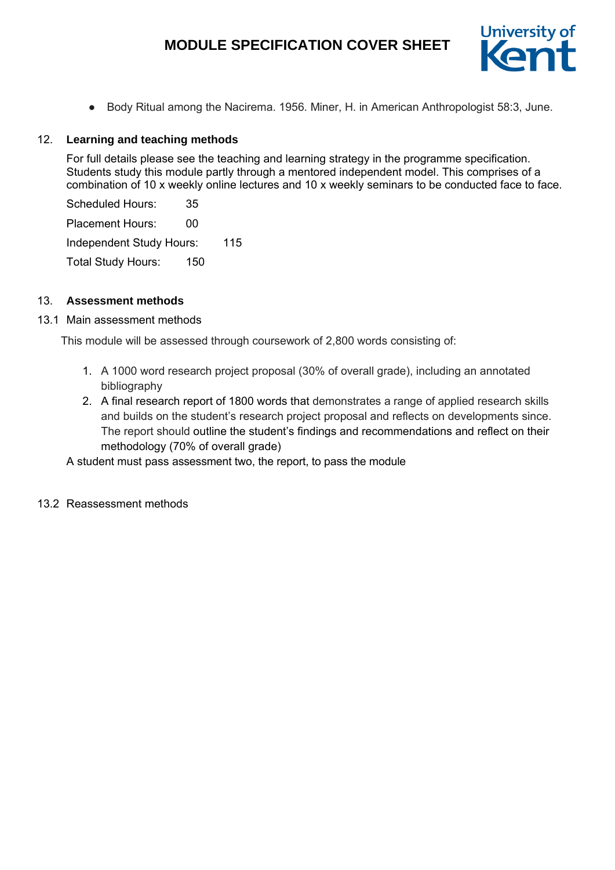# **MODULE SPECIFICATION COVER SHEET**



● Body Ritual among the Nacirema. 1956. Miner, H. in American Anthropologist 58:3, June.

## 12. **Learning and teaching methods**

For full details please see the teaching and learning strategy in the programme specification. Students study this module partly through a mentored independent model. This comprises of a combination of 10 x weekly online lectures and 10 x weekly seminars to be conducted face to face.

Scheduled Hours: 35 Placement Hours: 00 Independent Study Hours: 115 Total Study Hours: 150

## 13. **Assessment methods**

## 13.1 Main assessment methods

This module will be assessed through coursework of 2,800 words consisting of:

- 1. A 1000 word research project proposal (30% of overall grade), including an annotated bibliography
- 2. A final research report of 1800 words that demonstrates a range of applied research skills and builds on the student's research project proposal and reflects on developments since. The report should outline the student's findings and recommendations and reflect on their methodology (70% of overall grade)

A student must pass assessment two, the report, to pass the module

13.2 Reassessment methods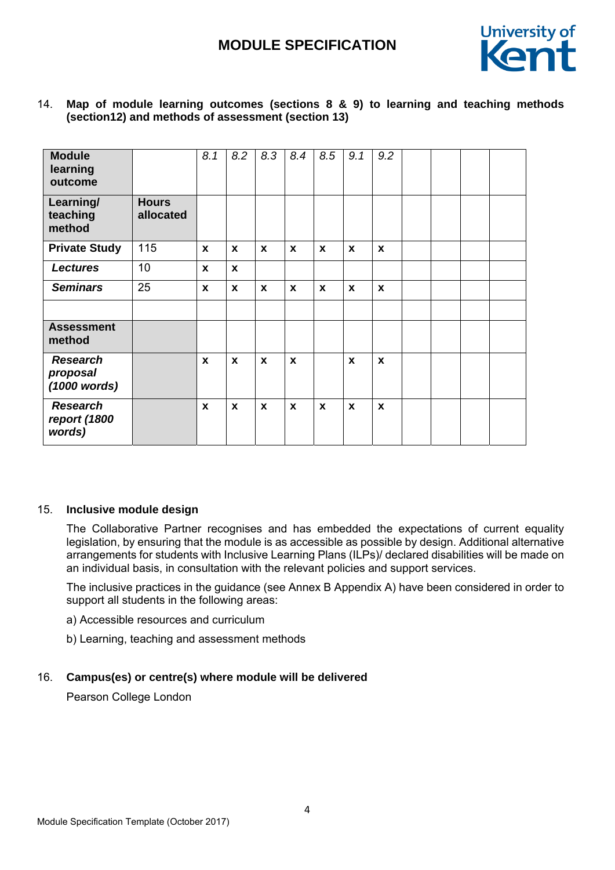

| <b>Module</b><br>learning<br>outcome        |                           | 8.1          | 8.2          | 8.3          | 8.4          | 8.5          | 9.1         | 9.2          |  |  |
|---------------------------------------------|---------------------------|--------------|--------------|--------------|--------------|--------------|-------------|--------------|--|--|
| Learning/<br>teaching<br>method             | <b>Hours</b><br>allocated |              |              |              |              |              |             |              |  |  |
| <b>Private Study</b>                        | 115                       | $\mathbf{x}$ | $\mathbf x$  | $\mathbf{x}$ | $\mathbf{x}$ | $\mathbf{x}$ | $\mathbf x$ | $\mathbf{x}$ |  |  |
| <b>Lectures</b>                             | 10                        | $\mathbf{x}$ | $\mathbf{x}$ |              |              |              |             |              |  |  |
| <b>Seminars</b>                             | 25                        | $\mathbf{x}$ | $\mathbf{x}$ | $\mathbf{x}$ | $\mathbf{x}$ | $\mathbf x$  | $\mathbf x$ | $\mathbf{x}$ |  |  |
|                                             |                           |              |              |              |              |              |             |              |  |  |
| <b>Assessment</b><br>method                 |                           |              |              |              |              |              |             |              |  |  |
| <b>Research</b><br>proposal<br>(1000 words) |                           | $\mathbf{x}$ | $\mathbf{x}$ | $\mathbf{x}$ | $\mathbf{x}$ |              | $\mathbf x$ | $\mathbf{x}$ |  |  |
| <b>Research</b><br>report (1800<br>words)   |                           | X            | $\pmb{\chi}$ | X            | $\mathbf{x}$ | $\mathbf x$  | $\mathbf x$ | X            |  |  |

14. **Map of module learning outcomes (sections 8 & 9) to learning and teaching methods (section12) and methods of assessment (section 13)** 

#### 15. **Inclusive module design**

The Collaborative Partner recognises and has embedded the expectations of current equality legislation, by ensuring that the module is as accessible as possible by design. Additional alternative arrangements for students with Inclusive Learning Plans (ILPs)/ declared disabilities will be made on an individual basis, in consultation with the relevant policies and support services.

The inclusive practices in the guidance (see Annex B Appendix A) have been considered in order to support all students in the following areas:

- a) Accessible resources and curriculum
- b) Learning, teaching and assessment methods

#### 16. **Campus(es) or centre(s) where module will be delivered**

Pearson College London